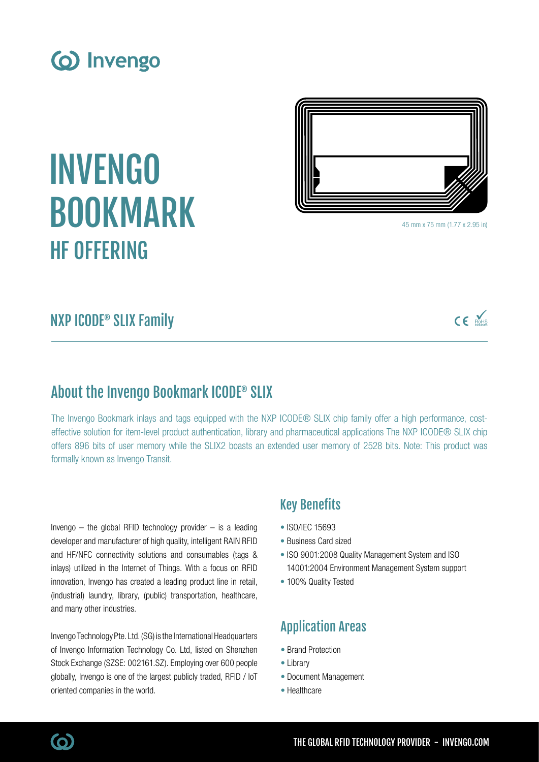

# INVENGO BOOKMARK HF OFFERING



45 mm x 75 mm (1.77 x 2.95 in)

## NXP ICODE® SLIX Family

## $CE$  Notes

#### About the Invengo Bookmark ICODE® SLIX

The Invengo Bookmark inlays and tags equipped with the NXP ICODE<sup>®</sup> SLIX chip family offer a high performance, costeffective solution for item-level product authentication, library and pharmaceutical applications The NXP ICODE® SLIX chip offers 896 bits of user memory while the SLIX2 boasts an extended user memory of 2528 bits. Note: This product was formally known as Invengo Transit.

Invengo  $-$  the global RFID technology provider  $-$  is a leading developer and manufacturer of high quality, intelligent RAIN RFID and HF/NFC connectivity solutions and consumables (tags & inlays) utilized in the Internet of Things. With a focus on RFID innovation, Invengo has created a leading product line in retail, (industrial) laundry, library, (public) transportation, healthcare, and many other industries.

Invengo Technology Pte. Ltd. (SG) is the International Headquarters of Invengo Information Technology Co. Ltd, listed on Shenzhen Stock Exchange (SZSE: 002161.SZ). Employing over 600 people globally, Invengo is one of the largest publicly traded, RFID / IoT oriented companies in the world.

#### Key Benefits

- ISO/IEC 15693
- Business Card sized
- ISO 9001:2008 Quality Management System and ISO 14001:2004 Environment Management System support
- 100% Quality Tested

#### Application Areas

- Brand Protection
- Library
- Document Management
- Healthcare